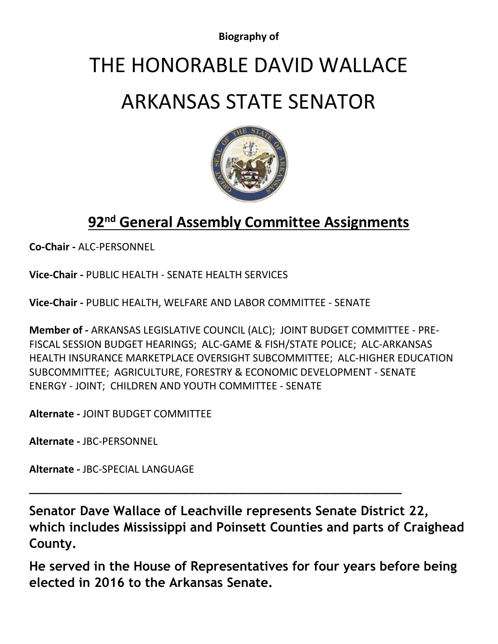**Biography of**

## THE HONORABLE DAVID WALLACE

## ARKANSAS STATE SENATOR



## **92nd General Assembly Committee Assignments**

**Co-Chair -** [ALC-PERSONNEL](http://www.arkleg.state.ar.us/assembly/2019/2019R/Pages/CommitteeDetail.aspx?committeecode=060)

**Vice-Chair -** PUBLIC HEALTH - [SENATE HEALTH SERVICES](http://www.arkleg.state.ar.us/assembly/2019/2019R/Pages/CommitteeDetail.aspx?committeecode=428)

**Vice-Chair -** [PUBLIC HEALTH, WELFARE AND LABOR COMMITTEE -](http://www.arkleg.state.ar.us/assembly/2019/2019R/Pages/CommitteeDetail.aspx?committeecode=430) SENATE

**Member of -** [ARKANSAS LEGISLATIVE COUNCIL \(ALC\);](http://www.arkleg.state.ar.us/assembly/2019/2019R/Pages/CommitteeDetail.aspx?committeecode=000) [JOINT BUDGET COMMITTEE -](http://www.arkleg.state.ar.us/assembly/2019/2019R/Pages/CommitteeDetail.aspx?committeecode=007) PRE-[FISCAL SESSION BUDGET HEARINGS;](http://www.arkleg.state.ar.us/assembly/2019/2019R/Pages/CommitteeDetail.aspx?committeecode=007) [ALC-GAME & FISH/STATE POLICE;](http://www.arkleg.state.ar.us/assembly/2019/2019R/Pages/CommitteeDetail.aspx?committeecode=008) [ALC-ARKANSAS](http://www.arkleg.state.ar.us/assembly/2019/2019R/Pages/CommitteeDetail.aspx?committeecode=032)  [HEALTH INSURANCE MARKETPLACE OVERSIGHT SUBCOMMITTEE;](http://www.arkleg.state.ar.us/assembly/2019/2019R/Pages/CommitteeDetail.aspx?committeecode=032) [ALC-HIGHER EDUCATION](http://www.arkleg.state.ar.us/assembly/2019/2019R/Pages/CommitteeDetail.aspx?committeecode=038)  [SUBCOMMITTEE;](http://www.arkleg.state.ar.us/assembly/2019/2019R/Pages/CommitteeDetail.aspx?committeecode=038) [AGRICULTURE, FORESTRY & ECONOMIC DEVELOPMENT -](http://www.arkleg.state.ar.us/assembly/2019/2019R/Pages/CommitteeDetail.aspx?committeecode=470) SENATE [ENERGY -](http://www.arkleg.state.ar.us/assembly/2019/2019R/Pages/CommitteeDetail.aspx?committeecode=510) JOINT; [CHILDREN AND YOUTH COMMITTEE -](http://www.arkleg.state.ar.us/assembly/2019/2019R/Pages/CommitteeDetail.aspx?committeecode=550) SENATE

**Alternate -** [JOINT BUDGET COMMITTEE](http://www.arkleg.state.ar.us/assembly/2019/2019R/Pages/CommitteeDetail.aspx?committeecode=005)

**Alternate -** [JBC-PERSONNEL](http://www.arkleg.state.ar.us/assembly/2019/2019R/Pages/CommitteeDetail.aspx?committeecode=027)

**Alternate -** [JBC-SPECIAL LANGUAGE](http://www.arkleg.state.ar.us/assembly/2019/2019R/Pages/CommitteeDetail.aspx?committeecode=028)

**Senator Dave Wallace of Leachville represents Senate District 22, which includes Mississippi and Poinsett Counties and parts of Craighead County.**

\_\_\_\_\_\_\_\_\_\_\_\_\_\_\_\_\_\_\_\_\_\_\_\_\_\_\_\_\_\_\_\_\_\_\_\_\_\_\_\_\_\_\_\_\_\_

**He served in the House of Representatives for four years before being elected in 2016 to the Arkansas Senate.**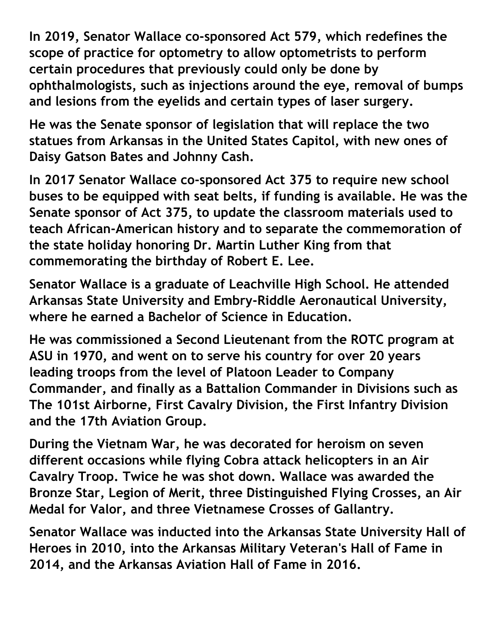**In 2019, Senator Wallace co-sponsored Act 579, which redefines the scope of practice for optometry to allow optometrists to perform certain procedures that previously could only be done by ophthalmologists, such as injections around the eye, removal of bumps and lesions from the eyelids and certain types of laser surgery.** 

**He was the Senate sponsor of legislation that will replace the two statues from Arkansas in the United States Capitol, with new ones of Daisy Gatson Bates and Johnny Cash.**

**In 2017 Senator Wallace co-sponsored Act 375 to require new school buses to be equipped with seat belts, if funding is available. He was the Senate sponsor of Act 375, to update the classroom materials used to teach African-American history and to separate the commemoration of the state holiday honoring Dr. Martin Luther King from that commemorating the birthday of Robert E. Lee.**

**Senator Wallace is a graduate of Leachville High School. He attended Arkansas State University and Embry-Riddle Aeronautical University, where he earned a Bachelor of Science in Education.** 

**He was commissioned a Second Lieutenant from the ROTC program at ASU in 1970, and went on to serve his country for over 20 years leading troops from the level of Platoon Leader to Company Commander, and finally as a Battalion Commander in Divisions such as The 101st Airborne, First Cavalry Division, the First Infantry Division and the 17th Aviation Group.** 

**During the Vietnam War, he was decorated for heroism on seven different occasions while flying Cobra attack helicopters in an Air Cavalry Troop. Twice he was shot down. Wallace was awarded the Bronze Star, Legion of Merit, three Distinguished Flying Crosses, an Air Medal for Valor, and three Vietnamese Crosses of Gallantry.** 

**Senator Wallace was inducted into the Arkansas State University Hall of Heroes in 2010, into the Arkansas Military Veteran's Hall of Fame in 2014, and the Arkansas Aviation Hall of Fame in 2016.**